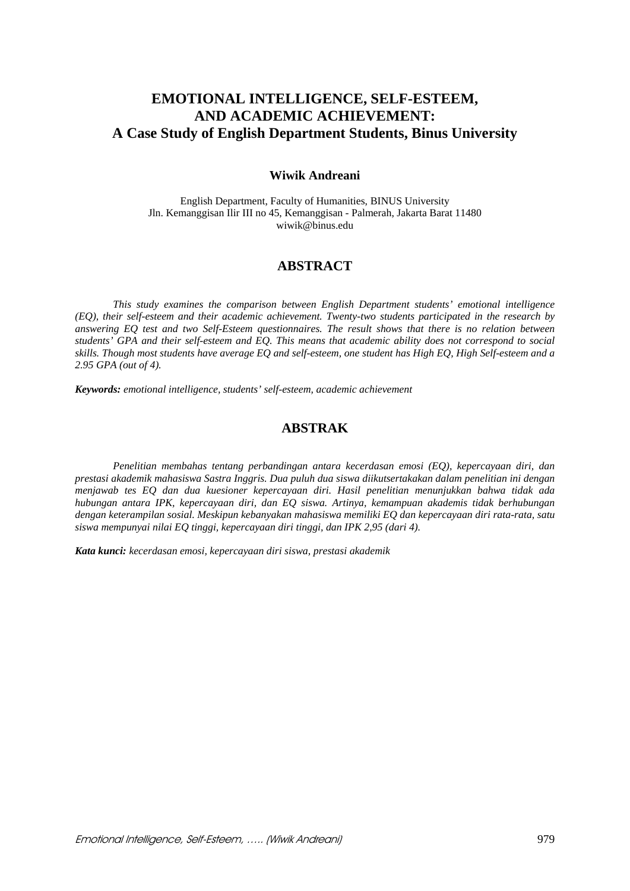# **EMOTIONAL INTELLIGENCE, SELF-ESTEEM, AND ACADEMIC ACHIEVEMENT: A Case Study of English Department Students, Binus University**

### **Wiwik Andreani**

English Department, Faculty of Humanities, BINUS University Jln. Kemanggisan Ilir III no 45, Kemanggisan - Palmerah, Jakarta Barat 11480 wiwik@binus.edu

# **ABSTRACT**

*This study examines the comparison between English Department students' emotional intelligence (EQ), their self-esteem and their academic achievement. Twenty-two students participated in the research by answering EQ test and two Self-Esteem questionnaires. The result shows that there is no relation between students' GPA and their self-esteem and EQ. This means that academic ability does not correspond to social skills. Though most students have average EQ and self-esteem, one student has High EQ, High Self-esteem and a 2.95 GPA (out of 4).* 

*Keywords: emotional intelligence, students' self-esteem, academic achievement* 

# **ABSTRAK**

*Penelitian membahas tentang perbandingan antara kecerdasan emosi (EQ), kepercayaan diri, dan prestasi akademik mahasiswa Sastra Inggris. Dua puluh dua siswa diikutsertakakan dalam penelitian ini dengan menjawab tes EQ dan dua kuesioner kepercayaan diri. Hasil penelitian menunjukkan bahwa tidak ada hubungan antara IPK, kepercayaan diri, dan EQ siswa. Artinya, kemampuan akademis tidak berhubungan dengan keterampilan sosial. Meskipun kebanyakan mahasiswa memiliki EQ dan kepercayaan diri rata-rata, satu siswa mempunyai nilai EQ tinggi, kepercayaan diri tinggi, dan IPK 2,95 (dari 4).* 

*Kata kunci: kecerdasan emosi, kepercayaan diri siswa, prestasi akademik*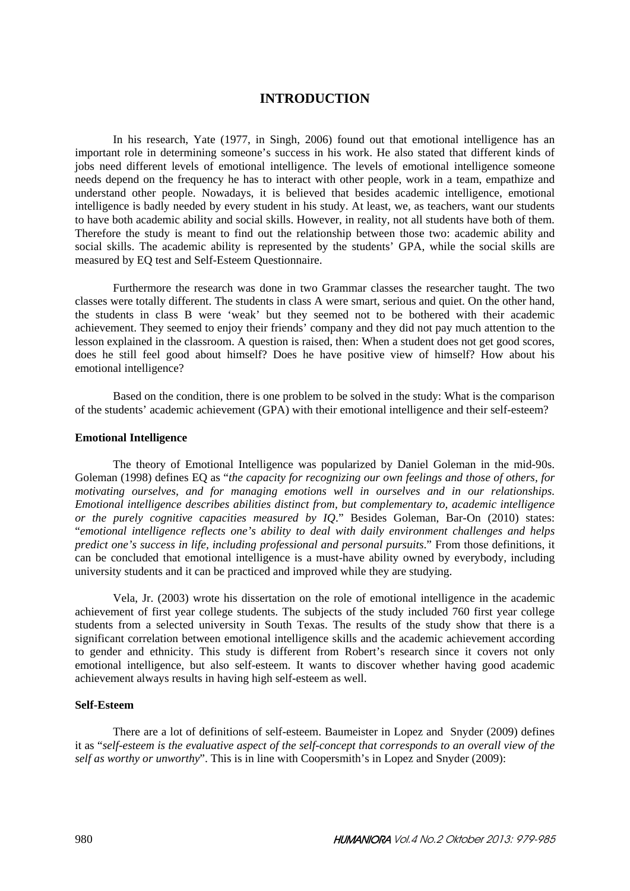### **INTRODUCTION**

In his research, Yate (1977, in Singh, 2006) found out that emotional intelligence has an important role in determining someone's success in his work. He also stated that different kinds of jobs need different levels of emotional intelligence. The levels of emotional intelligence someone needs depend on the frequency he has to interact with other people, work in a team, empathize and understand other people. Nowadays, it is believed that besides academic intelligence, emotional intelligence is badly needed by every student in his study. At least, we, as teachers, want our students to have both academic ability and social skills. However, in reality, not all students have both of them. Therefore the study is meant to find out the relationship between those two: academic ability and social skills. The academic ability is represented by the students' GPA, while the social skills are measured by EQ test and Self-Esteem Questionnaire.

Furthermore the research was done in two Grammar classes the researcher taught. The two classes were totally different. The students in class A were smart, serious and quiet. On the other hand, the students in class B were 'weak' but they seemed not to be bothered with their academic achievement. They seemed to enjoy their friends' company and they did not pay much attention to the lesson explained in the classroom. A question is raised, then: When a student does not get good scores, does he still feel good about himself? Does he have positive view of himself? How about his emotional intelligence?

Based on the condition, there is one problem to be solved in the study: What is the comparison of the students' academic achievement (GPA) with their emotional intelligence and their self-esteem?

#### **Emotional Intelligence**

The theory of Emotional Intelligence was popularized by Daniel Goleman in the mid-90s. Goleman (1998) defines EQ as "*the capacity for recognizing our own feelings and those of others, for motivating ourselves, and for managing emotions well in ourselves and in our relationships. Emotional intelligence describes abilities distinct from, but complementary to, academic intelligence or the purely cognitive capacities measured by IQ*." Besides Goleman, Bar-On (2010) states: "*emotional intelligence reflects one's ability to deal with daily environment challenges and helps predict one's success in life, including professional and personal pursuits*." From those definitions, it can be concluded that emotional intelligence is a must-have ability owned by everybody, including university students and it can be practiced and improved while they are studying.

Vela, Jr. (2003) wrote his dissertation on the role of emotional intelligence in the academic achievement of first year college students. The subjects of the study included 760 first year college students from a selected university in South Texas. The results of the study show that there is a significant correlation between emotional intelligence skills and the academic achievement according to gender and ethnicity. This study is different from Robert's research since it covers not only emotional intelligence, but also self-esteem. It wants to discover whether having good academic achievement always results in having high self-esteem as well.

#### **Self-Esteem**

There are a lot of definitions of self-esteem. Baumeister in Lopez and Snyder (2009) defines it as "*self-esteem is the evaluative aspect of the self-concept that corresponds to an overall view of the self as worthy or unworthy*". This is in line with Coopersmith's in Lopez and Snyder (2009):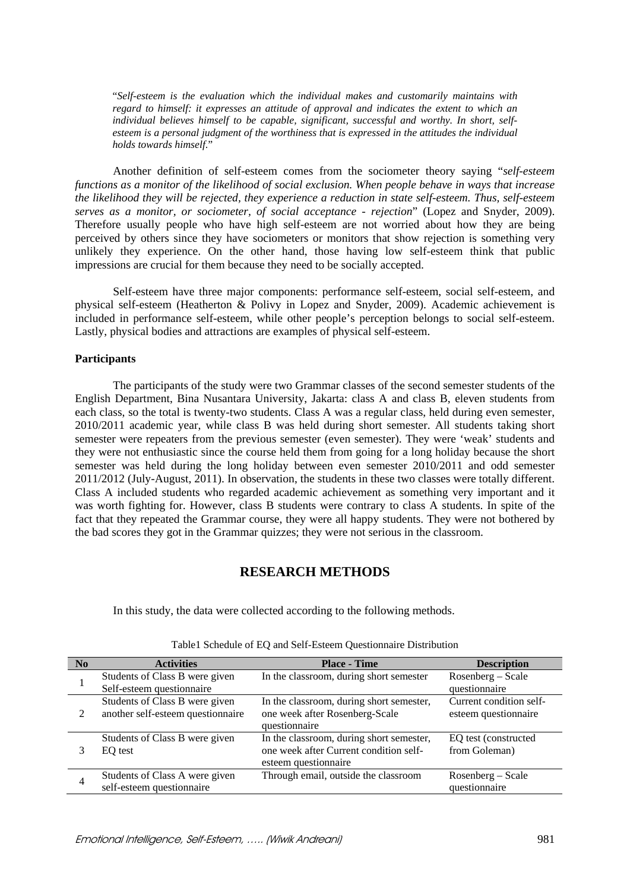"*Self-esteem is the evaluation which the individual makes and customarily maintains with regard to himself: it expresses an attitude of approval and indicates the extent to which an individual believes himself to be capable, significant, successful and worthy. In short, selfesteem is a personal judgment of the worthiness that is expressed in the attitudes the individual holds towards himself*."

Another definition of self-esteem comes from the sociometer theory saying "*self-esteem functions as a monitor of the likelihood of social exclusion. When people behave in ways that increase the likelihood they will be rejected, they experience a reduction in state self-esteem. Thus, self-esteem serves as a monitor, or sociometer, of social acceptance - rejection*" (Lopez and Snyder, 2009). Therefore usually people who have high self-esteem are not worried about how they are being perceived by others since they have sociometers or monitors that show rejection is something very unlikely they experience. On the other hand, those having low self-esteem think that public impressions are crucial for them because they need to be socially accepted.

Self-esteem have three major components: performance self-esteem, social self-esteem, and physical self-esteem (Heatherton & Polivy in Lopez and Snyder, 2009). Academic achievement is included in performance self-esteem, while other people's perception belongs to social self-esteem. Lastly, physical bodies and attractions are examples of physical self-esteem.

#### **Participants**

The participants of the study were two Grammar classes of the second semester students of the English Department, Bina Nusantara University, Jakarta: class A and class B, eleven students from each class, so the total is twenty-two students. Class A was a regular class, held during even semester, 2010/2011 academic year, while class B was held during short semester. All students taking short semester were repeaters from the previous semester (even semester). They were 'weak' students and they were not enthusiastic since the course held them from going for a long holiday because the short semester was held during the long holiday between even semester 2010/2011 and odd semester 2011/2012 (July-August, 2011). In observation, the students in these two classes were totally different. Class A included students who regarded academic achievement as something very important and it was worth fighting for. However, class B students were contrary to class A students. In spite of the fact that they repeated the Grammar course, they were all happy students. They were not bothered by the bad scores they got in the Grammar quizzes; they were not serious in the classroom.

### **RESEARCH METHODS**

In this study, the data were collected according to the following methods.

| No             | <b>Activities</b>                                                   | <b>Place - Time</b>                                                                                        | <b>Description</b>                              |
|----------------|---------------------------------------------------------------------|------------------------------------------------------------------------------------------------------------|-------------------------------------------------|
|                | Students of Class B were given<br>Self-esteem questionnaire         | In the classroom, during short semester                                                                    | Rosenberg – Scale<br>questionnaire              |
| $\mathfrak{D}$ | Students of Class B were given<br>another self-esteem questionnaire | In the classroom, during short semester,<br>one week after Rosenberg-Scale<br>questionnaire                | Current condition self-<br>esteem questionnaire |
|                | Students of Class B were given<br>EQ test                           | In the classroom, during short semester,<br>one week after Current condition self-<br>esteem questionnaire | EQ test (constructed<br>from Goleman)           |
| 4              | Students of Class A were given<br>self-esteem questionnaire         | Through email, outside the classroom                                                                       | Rosenberg - Scale<br>questionnaire              |

Table1 Schedule of EQ and Self-Esteem Questionnaire Distribution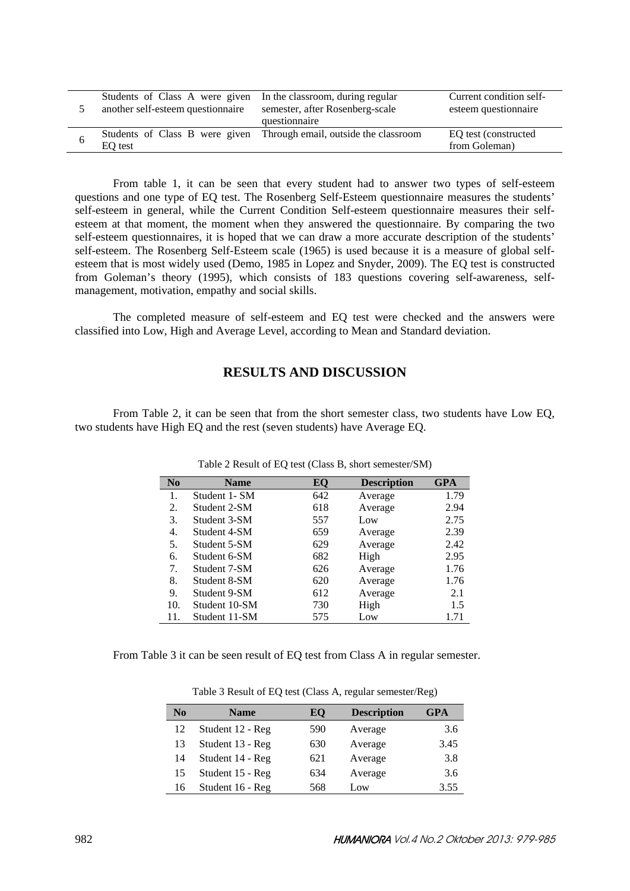| Students of Class A were given In the classroom, during regular | semester, after Rosenberg-scale                                     | Current condition self- |
|-----------------------------------------------------------------|---------------------------------------------------------------------|-------------------------|
| another self-esteem questionnaire                               | questionnaire                                                       | esteem questionnaire    |
| EO test                                                         | Students of Class B were given Through email, outside the classroom |                         |

From table 1, it can be seen that every student had to answer two types of self-esteem questions and one type of EQ test. The Rosenberg Self-Esteem questionnaire measures the students' self-esteem in general, while the Current Condition Self-esteem questionnaire measures their selfesteem at that moment, the moment when they answered the questionnaire. By comparing the two self-esteem questionnaires, it is hoped that we can draw a more accurate description of the students' self-esteem. The Rosenberg Self-Esteem scale (1965) is used because it is a measure of global selfesteem that is most widely used (Demo, 1985 in Lopez and Snyder, 2009). The EQ test is constructed from Goleman's theory (1995), which consists of 183 questions covering self-awareness, selfmanagement, motivation, empathy and social skills.

The completed measure of self-esteem and EQ test were checked and the answers were classified into Low, High and Average Level, according to Mean and Standard deviation.

### **RESULTS AND DISCUSSION**

From Table 2, it can be seen that from the short semester class, two students have Low EQ, two students have High EQ and the rest (seven students) have Average EQ.

| N <sub>0</sub> | <b>Name</b>   | EО  | <b>Description</b> | <b>GPA</b> |
|----------------|---------------|-----|--------------------|------------|
| 1.             | Student 1- SM | 642 | Average            | 1.79       |
| 2.             | Student 2-SM  | 618 | Average            | 2.94       |
| 3.             | Student 3-SM  | 557 | Low                | 2.75       |
| 4.             | Student 4-SM  | 659 | Average            | 2.39       |
| 5.             | Student 5-SM  | 629 | Average            | 2.42       |
| 6.             | Student 6-SM  | 682 | High               | 2.95       |
| 7.             | Student 7-SM  | 626 | Average            | 1.76       |
| 8.             | Student 8-SM  | 620 | Average            | 1.76       |
| 9.             | Student 9-SM  | 612 | Average            | 2.1        |
| 10.            | Student 10-SM | 730 | High               | 1.5        |
| 11.            | Student 11-SM | 575 | Low                | 1.71       |

Table 2 Result of EQ test (Class B, short semester/SM)

From Table 3 it can be seen result of EQ test from Class A in regular semester.

| $\bf No$ | <b>Name</b>      | EO  | <b>Description</b> | <b>GPA</b> |
|----------|------------------|-----|--------------------|------------|
| 12       | Student 12 - Reg | 590 | Average            | 3.6        |
| 13       | Student 13 - Reg | 630 | Average            | 3.45       |
| 14       | Student 14 - Reg | 621 | Average            | 3.8        |
| 15       | Student 15 - Reg | 634 | Average            | 3.6        |
| 16       | Student 16 - Reg | 568 | Low                | 3.55       |

Table 3 Result of EQ test (Class A, regular semester/Reg)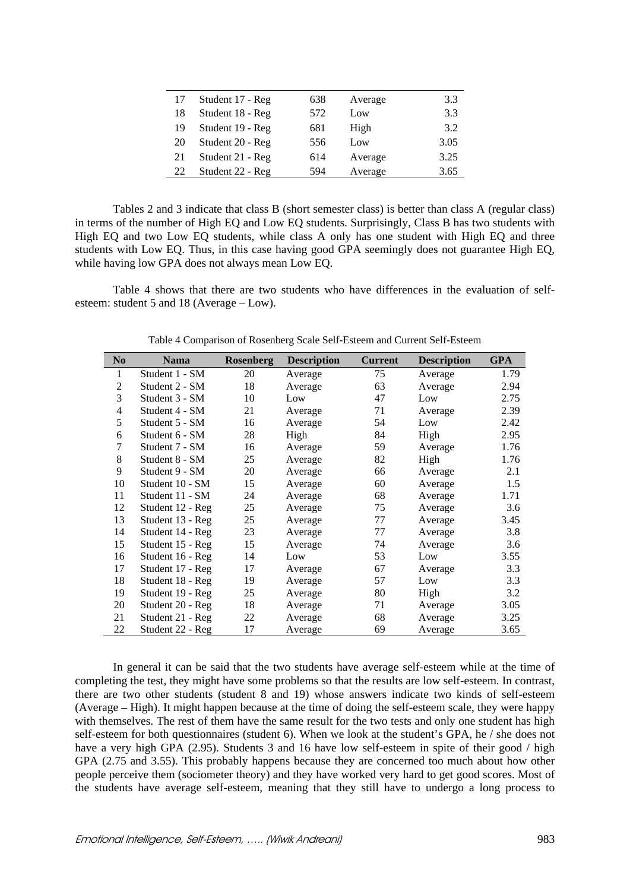| 17 | Student 17 - Reg | 638 | Average | 3.3  |
|----|------------------|-----|---------|------|
| 18 | Student 18 - Reg | 572 | Low     | 3.3  |
| 19 | Student 19 - Reg | 681 | High    | 3.2  |
| 20 | Student 20 - Reg | 556 | Low     | 3.05 |
| 21 | Student 21 - Reg | 614 | Average | 3.25 |
| 22 | Student 22 - Reg | 594 | Average | 3.65 |

Tables 2 and 3 indicate that class B (short semester class) is better than class A (regular class) in terms of the number of High EQ and Low EQ students. Surprisingly, Class B has two students with High EQ and two Low EQ students, while class A only has one student with High EQ and three students with Low EQ. Thus, in this case having good GPA seemingly does not guarantee High EQ, while having low GPA does not always mean Low EQ.

Table 4 shows that there are two students who have differences in the evaluation of selfesteem: student 5 and 18 (Average – Low).

| N <sub>0</sub>           | Nama             | <b>Rosenberg</b> | <b>Description</b> | <b>Current</b> | <b>Description</b> | <b>GPA</b> |
|--------------------------|------------------|------------------|--------------------|----------------|--------------------|------------|
| 1                        | Student 1 - SM   | 20               | Average            | 75             | Average            | 1.79       |
| 2                        | Student 2 - SM   | 18               | Average            | 63             | Average            | 2.94       |
| 3                        | Student 3 - SM   | 10               | Low                | 47             | Low                | 2.75       |
| $\overline{\mathcal{L}}$ | Student 4 - SM   | 21               | Average            | 71             | Average            | 2.39       |
| 5                        | Student 5 - SM   | 16               | Average            | 54             | Low                | 2.42       |
| 6                        | Student 6 - SM   | 28               | High               | 84             | High               | 2.95       |
| 7                        | Student 7 - SM   | 16               | Average            | 59             | Average            | 1.76       |
| 8                        | Student 8 - SM   | 25               | Average            | 82             | High               | 1.76       |
| 9                        | Student 9 - SM   | 20               | Average            | 66             | Average            | 2.1        |
| 10                       | Student 10 - SM  | 15               | Average            | 60             | Average            | 1.5        |
| 11                       | Student 11 - SM  | 24               | Average            | 68             | Average            | 1.71       |
| 12                       | Student 12 - Reg | 25               | Average            | 75             | Average            | 3.6        |
| 13                       | Student 13 - Reg | 25               | Average            | 77             | Average            | 3.45       |
| 14                       | Student 14 - Reg | 23               | Average            | 77             | Average            | 3.8        |
| 15                       | Student 15 - Reg | 15               | Average            | 74             | Average            | 3.6        |
| 16                       | Student 16 - Reg | 14               | Low                | 53             | Low                | 3.55       |
| 17                       | Student 17 - Reg | 17               | Average            | 67             | Average            | 3.3        |
| 18                       | Student 18 - Reg | 19               | Average            | 57             | Low                | 3.3        |
| 19                       | Student 19 - Reg | 25               | Average            | 80             | High               | 3.2        |
| 20                       | Student 20 - Reg | 18               | Average            | 71             | Average            | 3.05       |
| 21                       | Student 21 - Reg | 22               | Average            | 68             | Average            | 3.25       |
| 22                       | Student 22 - Reg | 17               | Average            | 69             | Average            | 3.65       |

Table 4 Comparison of Rosenberg Scale Self-Esteem and Current Self-Esteem

In general it can be said that the two students have average self-esteem while at the time of completing the test, they might have some problems so that the results are low self-esteem. In contrast, there are two other students (student 8 and 19) whose answers indicate two kinds of self-esteem (Average – High). It might happen because at the time of doing the self-esteem scale, they were happy with themselves. The rest of them have the same result for the two tests and only one student has high self-esteem for both questionnaires (student 6). When we look at the student's GPA, he / she does not have a very high GPA (2.95). Students 3 and 16 have low self-esteem in spite of their good / high GPA (2.75 and 3.55). This probably happens because they are concerned too much about how other people perceive them (sociometer theory) and they have worked very hard to get good scores. Most of the students have average self-esteem, meaning that they still have to undergo a long process to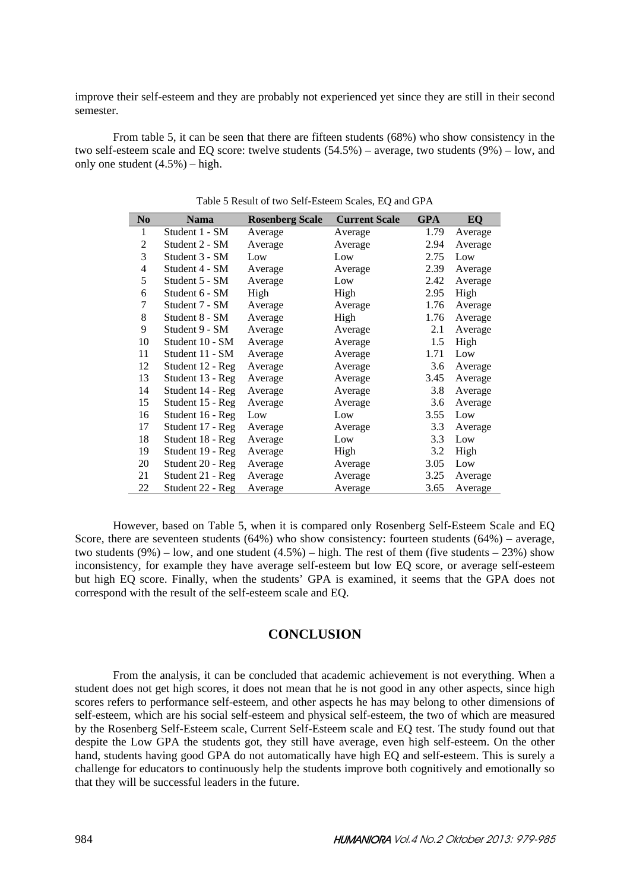improve their self-esteem and they are probably not experienced yet since they are still in their second semester.

From table 5, it can be seen that there are fifteen students (68%) who show consistency in the two self-esteem scale and EQ score: twelve students (54.5%) – average, two students (9%) – low, and only one student (4.5%) – high.

| N <sub>0</sub> | <b>Nama</b>      | <b>Rosenberg Scale</b> | <b>Current Scale</b> | <b>GPA</b> | EQ      |
|----------------|------------------|------------------------|----------------------|------------|---------|
| 1              | Student 1 - SM   | Average                | Average              | 1.79       | Average |
| 2              | Student 2 - SM   | Average                | Average              | 2.94       | Average |
| 3              | Student 3 - SM   | Low                    | Low                  | 2.75       | Low     |
| $\overline{4}$ | Student 4 - SM   | Average                | Average              | 2.39       | Average |
| 5              | Student 5 - SM   | Average                | Low                  | 2.42       | Average |
| 6              | Student 6 - SM   | High                   | High                 | 2.95       | High    |
| 7              | Student 7 - SM   | Average                | Average              | 1.76       | Average |
| 8              | Student 8 - SM   | Average                | High                 | 1.76       | Average |
| 9              | Student 9 - SM   | Average                | Average              | 2.1        | Average |
| 10             | Student 10 - SM  | Average                | Average              | 1.5        | High    |
| 11             | Student 11 - SM  | Average                | Average              | 1.71       | Low     |
| 12             | Student 12 - Reg | Average                | Average              | 3.6        | Average |
| 13             | Student 13 - Reg | Average                | Average              | 3.45       | Average |
| 14             | Student 14 - Reg | Average                | Average              | 3.8        | Average |
| 15             | Student 15 - Reg | Average                | Average              | 3.6        | Average |
| 16             | Student 16 - Reg | Low                    | Low                  | 3.55       | Low     |
| 17             | Student 17 - Reg | Average                | Average              | 3.3        | Average |
| 18             | Student 18 - Reg | Average                | Low                  | 3.3        | Low     |
| 19             | Student 19 - Reg | Average                | High                 | 3.2        | High    |
| 20             | Student 20 - Reg | Average                | Average              | 3.05       | Low     |
| 21             | Student 21 - Reg | Average                | Average              | 3.25       | Average |
| 22             | Student 22 - Reg | Average                | Average              | 3.65       | Average |
|                |                  |                        |                      |            |         |

Table 5 Result of two Self-Esteem Scales, EQ and GPA

However, based on Table 5, when it is compared only Rosenberg Self-Esteem Scale and EQ Score, there are seventeen students (64%) who show consistency: fourteen students (64%) – average, two students  $(9\%)$  – low, and one student  $(4.5\%)$  – high. The rest of them (five students – 23%) show inconsistency, for example they have average self-esteem but low EQ score, or average self-esteem but high EQ score. Finally, when the students' GPA is examined, it seems that the GPA does not correspond with the result of the self-esteem scale and EQ.

## **CONCLUSION**

From the analysis, it can be concluded that academic achievement is not everything. When a student does not get high scores, it does not mean that he is not good in any other aspects, since high scores refers to performance self-esteem, and other aspects he has may belong to other dimensions of self-esteem, which are his social self-esteem and physical self-esteem, the two of which are measured by the Rosenberg Self-Esteem scale, Current Self-Esteem scale and EQ test. The study found out that despite the Low GPA the students got, they still have average, even high self-esteem. On the other hand, students having good GPA do not automatically have high EQ and self-esteem. This is surely a challenge for educators to continuously help the students improve both cognitively and emotionally so that they will be successful leaders in the future.